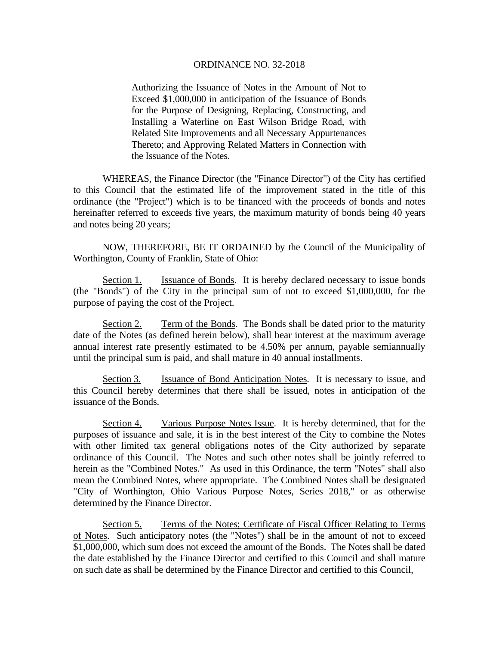Authorizing the Issuance of Notes in the Amount of Not to Exceed \$1,000,000 in anticipation of the Issuance of Bonds for the Purpose of Designing, Replacing, Constructing, and Installing a Waterline on East Wilson Bridge Road, with Related Site Improvements and all Necessary Appurtenances Thereto; and Approving Related Matters in Connection with the Issuance of the Notes.

 WHEREAS, the Finance Director (the "Finance Director") of the City has certified to this Council that the estimated life of the improvement stated in the title of this ordinance (the "Project") which is to be financed with the proceeds of bonds and notes hereinafter referred to exceeds five years, the maximum maturity of bonds being 40 years and notes being 20 years;

 NOW, THEREFORE, BE IT ORDAINED by the Council of the Municipality of Worthington, County of Franklin, State of Ohio:

Section 1. Issuance of Bonds. It is hereby declared necessary to issue bonds (the "Bonds") of the City in the principal sum of not to exceed \$1,000,000, for the purpose of paying the cost of the Project.

Section 2. Term of the Bonds. The Bonds shall be dated prior to the maturity date of the Notes (as defined herein below), shall bear interest at the maximum average annual interest rate presently estimated to be 4.50% per annum, payable semiannually until the principal sum is paid, and shall mature in 40 annual installments.

Section 3. Issuance of Bond Anticipation Notes. It is necessary to issue, and this Council hereby determines that there shall be issued, notes in anticipation of the issuance of the Bonds.

Section 4. Various Purpose Notes Issue. It is hereby determined, that for the purposes of issuance and sale, it is in the best interest of the City to combine the Notes with other limited tax general obligations notes of the City authorized by separate ordinance of this Council. The Notes and such other notes shall be jointly referred to herein as the "Combined Notes." As used in this Ordinance, the term "Notes" shall also mean the Combined Notes, where appropriate. The Combined Notes shall be designated "City of Worthington, Ohio Various Purpose Notes, Series 2018," or as otherwise determined by the Finance Director.

Section 5. Terms of the Notes; Certificate of Fiscal Officer Relating to Terms of Notes. Such anticipatory notes (the "Notes") shall be in the amount of not to exceed \$1,000,000, which sum does not exceed the amount of the Bonds. The Notes shall be dated the date established by the Finance Director and certified to this Council and shall mature on such date as shall be determined by the Finance Director and certified to this Council,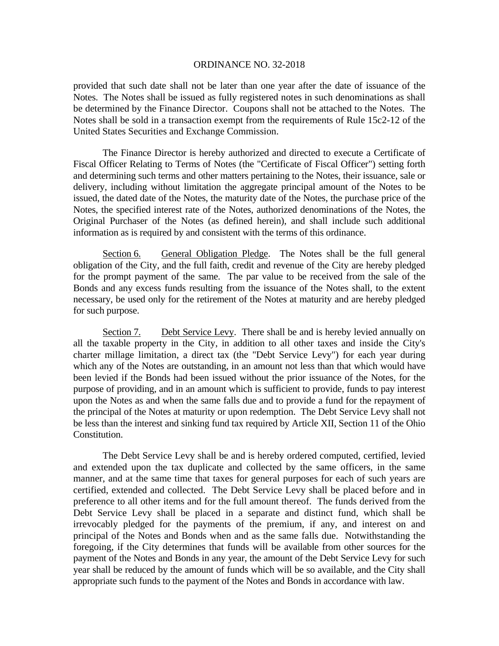provided that such date shall not be later than one year after the date of issuance of the Notes. The Notes shall be issued as fully registered notes in such denominations as shall be determined by the Finance Director. Coupons shall not be attached to the Notes. The Notes shall be sold in a transaction exempt from the requirements of Rule 15c2-12 of the United States Securities and Exchange Commission.

 The Finance Director is hereby authorized and directed to execute a Certificate of Fiscal Officer Relating to Terms of Notes (the "Certificate of Fiscal Officer") setting forth and determining such terms and other matters pertaining to the Notes, their issuance, sale or delivery, including without limitation the aggregate principal amount of the Notes to be issued, the dated date of the Notes, the maturity date of the Notes, the purchase price of the Notes, the specified interest rate of the Notes, authorized denominations of the Notes, the Original Purchaser of the Notes (as defined herein), and shall include such additional information as is required by and consistent with the terms of this ordinance.

Section 6. General Obligation Pledge. The Notes shall be the full general obligation of the City, and the full faith, credit and revenue of the City are hereby pledged for the prompt payment of the same. The par value to be received from the sale of the Bonds and any excess funds resulting from the issuance of the Notes shall, to the extent necessary, be used only for the retirement of the Notes at maturity and are hereby pledged for such purpose.

Section 7. Debt Service Levy. There shall be and is hereby levied annually on all the taxable property in the City, in addition to all other taxes and inside the City's charter millage limitation, a direct tax (the "Debt Service Levy") for each year during which any of the Notes are outstanding, in an amount not less than that which would have been levied if the Bonds had been issued without the prior issuance of the Notes, for the purpose of providing, and in an amount which is sufficient to provide, funds to pay interest upon the Notes as and when the same falls due and to provide a fund for the repayment of the principal of the Notes at maturity or upon redemption. The Debt Service Levy shall not be less than the interest and sinking fund tax required by Article XII, Section 11 of the Ohio Constitution.

The Debt Service Levy shall be and is hereby ordered computed, certified, levied and extended upon the tax duplicate and collected by the same officers, in the same manner, and at the same time that taxes for general purposes for each of such years are certified, extended and collected. The Debt Service Levy shall be placed before and in preference to all other items and for the full amount thereof. The funds derived from the Debt Service Levy shall be placed in a separate and distinct fund, which shall be irrevocably pledged for the payments of the premium, if any, and interest on and principal of the Notes and Bonds when and as the same falls due. Notwithstanding the foregoing, if the City determines that funds will be available from other sources for the payment of the Notes and Bonds in any year, the amount of the Debt Service Levy for such year shall be reduced by the amount of funds which will be so available, and the City shall appropriate such funds to the payment of the Notes and Bonds in accordance with law.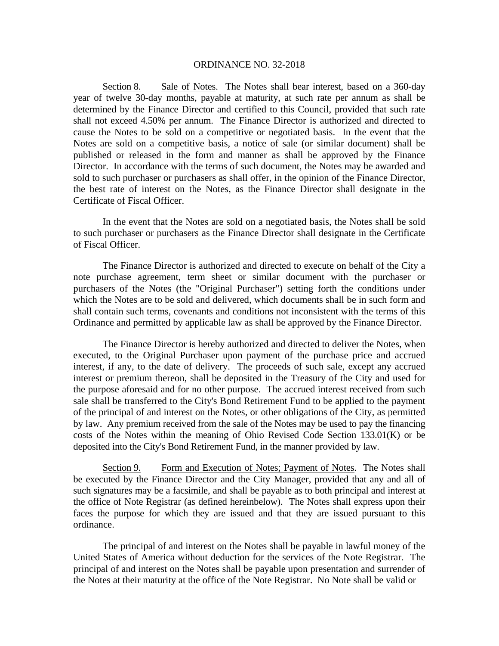Section 8. Sale of Notes. The Notes shall bear interest, based on a 360-day year of twelve 30-day months, payable at maturity, at such rate per annum as shall be determined by the Finance Director and certified to this Council, provided that such rate shall not exceed 4.50% per annum. The Finance Director is authorized and directed to cause the Notes to be sold on a competitive or negotiated basis. In the event that the Notes are sold on a competitive basis, a notice of sale (or similar document) shall be published or released in the form and manner as shall be approved by the Finance Director. In accordance with the terms of such document, the Notes may be awarded and sold to such purchaser or purchasers as shall offer, in the opinion of the Finance Director, the best rate of interest on the Notes, as the Finance Director shall designate in the Certificate of Fiscal Officer.

In the event that the Notes are sold on a negotiated basis, the Notes shall be sold to such purchaser or purchasers as the Finance Director shall designate in the Certificate of Fiscal Officer.

The Finance Director is authorized and directed to execute on behalf of the City a note purchase agreement, term sheet or similar document with the purchaser or purchasers of the Notes (the "Original Purchaser") setting forth the conditions under which the Notes are to be sold and delivered, which documents shall be in such form and shall contain such terms, covenants and conditions not inconsistent with the terms of this Ordinance and permitted by applicable law as shall be approved by the Finance Director.

The Finance Director is hereby authorized and directed to deliver the Notes, when executed, to the Original Purchaser upon payment of the purchase price and accrued interest, if any, to the date of delivery. The proceeds of such sale, except any accrued interest or premium thereon, shall be deposited in the Treasury of the City and used for the purpose aforesaid and for no other purpose. The accrued interest received from such sale shall be transferred to the City's Bond Retirement Fund to be applied to the payment of the principal of and interest on the Notes, or other obligations of the City, as permitted by law. Any premium received from the sale of the Notes may be used to pay the financing costs of the Notes within the meaning of Ohio Revised Code Section 133.01(K) or be deposited into the City's Bond Retirement Fund, in the manner provided by law.

Section 9. Form and Execution of Notes; Payment of Notes. The Notes shall be executed by the Finance Director and the City Manager, provided that any and all of such signatures may be a facsimile, and shall be payable as to both principal and interest at the office of Note Registrar (as defined hereinbelow). The Notes shall express upon their faces the purpose for which they are issued and that they are issued pursuant to this ordinance.

 The principal of and interest on the Notes shall be payable in lawful money of the United States of America without deduction for the services of the Note Registrar. The principal of and interest on the Notes shall be payable upon presentation and surrender of the Notes at their maturity at the office of the Note Registrar. No Note shall be valid or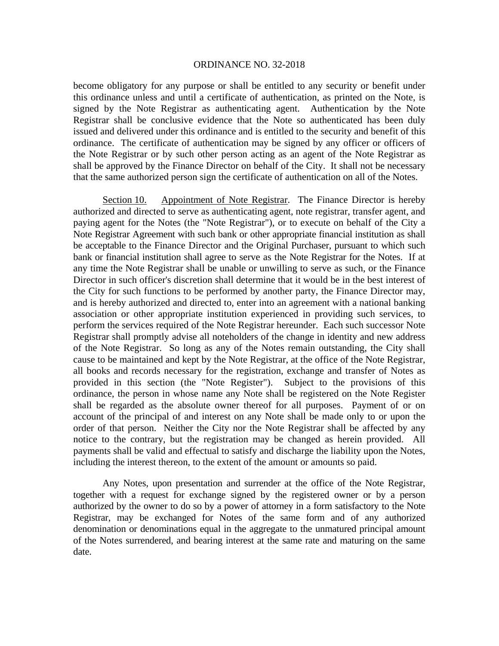become obligatory for any purpose or shall be entitled to any security or benefit under this ordinance unless and until a certificate of authentication, as printed on the Note, is signed by the Note Registrar as authenticating agent. Authentication by the Note Registrar shall be conclusive evidence that the Note so authenticated has been duly issued and delivered under this ordinance and is entitled to the security and benefit of this ordinance. The certificate of authentication may be signed by any officer or officers of the Note Registrar or by such other person acting as an agent of the Note Registrar as shall be approved by the Finance Director on behalf of the City. It shall not be necessary that the same authorized person sign the certificate of authentication on all of the Notes.

Section 10. Appointment of Note Registrar. The Finance Director is hereby authorized and directed to serve as authenticating agent, note registrar, transfer agent, and paying agent for the Notes (the "Note Registrar"), or to execute on behalf of the City a Note Registrar Agreement with such bank or other appropriate financial institution as shall be acceptable to the Finance Director and the Original Purchaser, pursuant to which such bank or financial institution shall agree to serve as the Note Registrar for the Notes. If at any time the Note Registrar shall be unable or unwilling to serve as such, or the Finance Director in such officer's discretion shall determine that it would be in the best interest of the City for such functions to be performed by another party, the Finance Director may, and is hereby authorized and directed to, enter into an agreement with a national banking association or other appropriate institution experienced in providing such services, to perform the services required of the Note Registrar hereunder. Each such successor Note Registrar shall promptly advise all noteholders of the change in identity and new address of the Note Registrar. So long as any of the Notes remain outstanding, the City shall cause to be maintained and kept by the Note Registrar, at the office of the Note Registrar, all books and records necessary for the registration, exchange and transfer of Notes as provided in this section (the "Note Register"). Subject to the provisions of this ordinance, the person in whose name any Note shall be registered on the Note Register shall be regarded as the absolute owner thereof for all purposes. Payment of or on account of the principal of and interest on any Note shall be made only to or upon the order of that person. Neither the City nor the Note Registrar shall be affected by any notice to the contrary, but the registration may be changed as herein provided. All payments shall be valid and effectual to satisfy and discharge the liability upon the Notes, including the interest thereon, to the extent of the amount or amounts so paid.

Any Notes, upon presentation and surrender at the office of the Note Registrar, together with a request for exchange signed by the registered owner or by a person authorized by the owner to do so by a power of attorney in a form satisfactory to the Note Registrar, may be exchanged for Notes of the same form and of any authorized denomination or denominations equal in the aggregate to the unmatured principal amount of the Notes surrendered, and bearing interest at the same rate and maturing on the same date.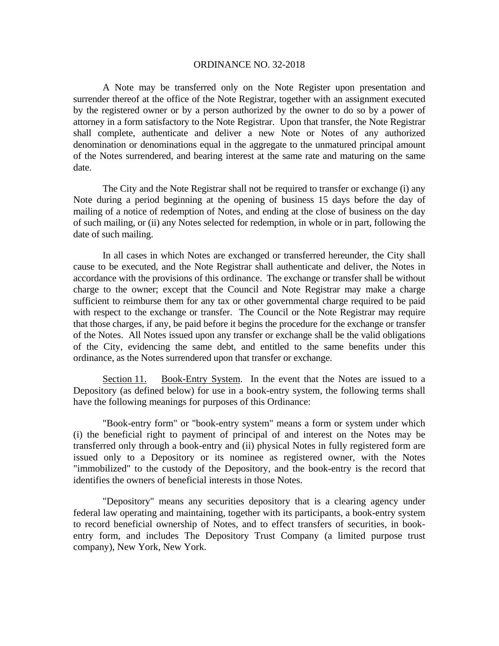A Note may be transferred only on the Note Register upon presentation and surrender thereof at the office of the Note Registrar, together with an assignment executed by the registered owner or by a person authorized by the owner to do so by a power of attorney in a form satisfactory to the Note Registrar. Upon that transfer, the Note Registrar shall complete, authenticate and deliver a new Note or Notes of any authorized denomination or denominations equal in the aggregate to the unmatured principal amount of the Notes surrendered, and bearing interest at the same rate and maturing on the same date.

The City and the Note Registrar shall not be required to transfer or exchange (i) any Note during a period beginning at the opening of business 15 days before the day of mailing of a notice of redemption of Notes, and ending at the close of business on the day of such mailing, or (ii) any Notes selected for redemption, in whole or in part, following the date of such mailing.

In all cases in which Notes are exchanged or transferred hereunder, the City shall cause to be executed, and the Note Registrar shall authenticate and deliver, the Notes in accordance with the provisions of this ordinance. The exchange or transfer shall be without charge to the owner; except that the Council and Note Registrar may make a charge sufficient to reimburse them for any tax or other governmental charge required to be paid with respect to the exchange or transfer. The Council or the Note Registrar may require that those charges, if any, be paid before it begins the procedure for the exchange or transfer of the Notes. All Notes issued upon any transfer or exchange shall be the valid obligations of the City, evidencing the same debt, and entitled to the same benefits under this ordinance, as the Notes surrendered upon that transfer or exchange.

Section 11. Book-Entry System. In the event that the Notes are issued to a Depository (as defined below) for use in a book-entry system, the following terms shall have the following meanings for purposes of this Ordinance:

"Book-entry form" or "book-entry system" means a form or system under which (i) the beneficial right to payment of principal of and interest on the Notes may be transferred only through a book-entry and (ii) physical Notes in fully registered form are issued only to a Depository or its nominee as registered owner, with the Notes "immobilized" to the custody of the Depository, and the book-entry is the record that identifies the owners of beneficial interests in those Notes.

"Depository" means any securities depository that is a clearing agency under federal law operating and maintaining, together with its participants, a book-entry system to record beneficial ownership of Notes, and to effect transfers of securities, in bookentry form, and includes The Depository Trust Company (a limited purpose trust company), New York, New York.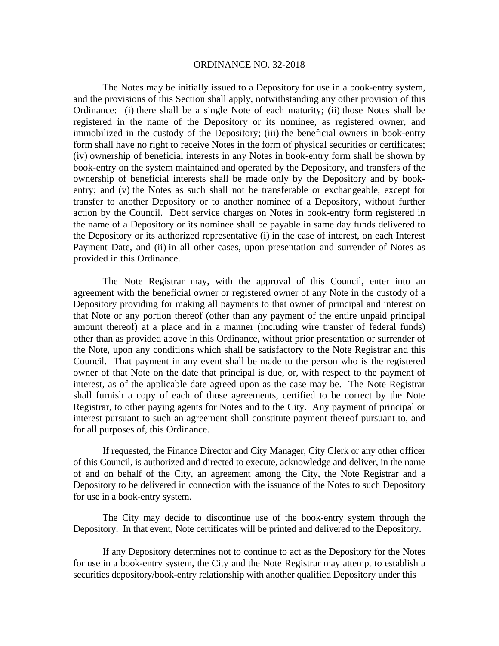The Notes may be initially issued to a Depository for use in a book-entry system, and the provisions of this Section shall apply, notwithstanding any other provision of this Ordinance: (i) there shall be a single Note of each maturity; (ii) those Notes shall be registered in the name of the Depository or its nominee, as registered owner, and immobilized in the custody of the Depository; (iii) the beneficial owners in book-entry form shall have no right to receive Notes in the form of physical securities or certificates; (iv) ownership of beneficial interests in any Notes in book-entry form shall be shown by book-entry on the system maintained and operated by the Depository, and transfers of the ownership of beneficial interests shall be made only by the Depository and by bookentry; and (v) the Notes as such shall not be transferable or exchangeable, except for transfer to another Depository or to another nominee of a Depository, without further action by the Council. Debt service charges on Notes in book-entry form registered in the name of a Depository or its nominee shall be payable in same day funds delivered to the Depository or its authorized representative (i) in the case of interest, on each Interest Payment Date, and (ii) in all other cases, upon presentation and surrender of Notes as provided in this Ordinance.

The Note Registrar may, with the approval of this Council, enter into an agreement with the beneficial owner or registered owner of any Note in the custody of a Depository providing for making all payments to that owner of principal and interest on that Note or any portion thereof (other than any payment of the entire unpaid principal amount thereof) at a place and in a manner (including wire transfer of federal funds) other than as provided above in this Ordinance, without prior presentation or surrender of the Note, upon any conditions which shall be satisfactory to the Note Registrar and this Council. That payment in any event shall be made to the person who is the registered owner of that Note on the date that principal is due, or, with respect to the payment of interest, as of the applicable date agreed upon as the case may be. The Note Registrar shall furnish a copy of each of those agreements, certified to be correct by the Note Registrar, to other paying agents for Notes and to the City. Any payment of principal or interest pursuant to such an agreement shall constitute payment thereof pursuant to, and for all purposes of, this Ordinance.

If requested, the Finance Director and City Manager, City Clerk or any other officer of this Council, is authorized and directed to execute, acknowledge and deliver, in the name of and on behalf of the City, an agreement among the City, the Note Registrar and a Depository to be delivered in connection with the issuance of the Notes to such Depository for use in a book-entry system.

 The City may decide to discontinue use of the book-entry system through the Depository. In that event, Note certificates will be printed and delivered to the Depository.

If any Depository determines not to continue to act as the Depository for the Notes for use in a book-entry system, the City and the Note Registrar may attempt to establish a securities depository/book-entry relationship with another qualified Depository under this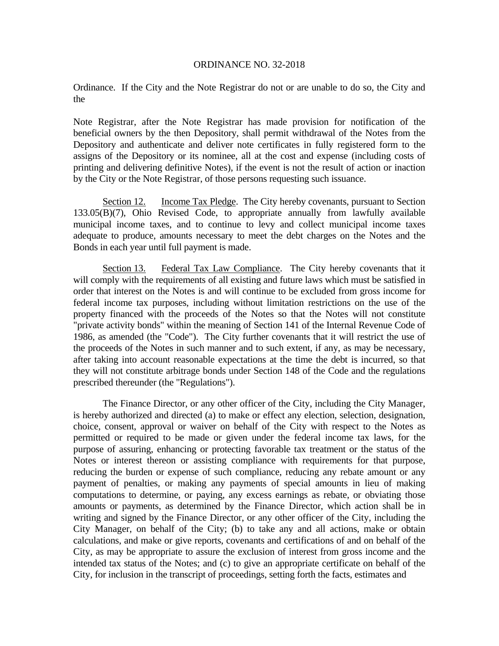Ordinance. If the City and the Note Registrar do not or are unable to do so, the City and the

Note Registrar, after the Note Registrar has made provision for notification of the beneficial owners by the then Depository, shall permit withdrawal of the Notes from the Depository and authenticate and deliver note certificates in fully registered form to the assigns of the Depository or its nominee, all at the cost and expense (including costs of printing and delivering definitive Notes), if the event is not the result of action or inaction by the City or the Note Registrar, of those persons requesting such issuance.

Section 12. Income Tax Pledge. The City hereby covenants, pursuant to Section 133.05(B)(7), Ohio Revised Code, to appropriate annually from lawfully available municipal income taxes, and to continue to levy and collect municipal income taxes adequate to produce, amounts necessary to meet the debt charges on the Notes and the Bonds in each year until full payment is made.

Section 13. Federal Tax Law Compliance. The City hereby covenants that it will comply with the requirements of all existing and future laws which must be satisfied in order that interest on the Notes is and will continue to be excluded from gross income for federal income tax purposes, including without limitation restrictions on the use of the property financed with the proceeds of the Notes so that the Notes will not constitute "private activity bonds" within the meaning of Section 141 of the Internal Revenue Code of 1986, as amended (the "Code"). The City further covenants that it will restrict the use of the proceeds of the Notes in such manner and to such extent, if any, as may be necessary, after taking into account reasonable expectations at the time the debt is incurred, so that they will not constitute arbitrage bonds under Section 148 of the Code and the regulations prescribed thereunder (the "Regulations").

 The Finance Director, or any other officer of the City, including the City Manager, is hereby authorized and directed (a) to make or effect any election, selection, designation, choice, consent, approval or waiver on behalf of the City with respect to the Notes as permitted or required to be made or given under the federal income tax laws, for the purpose of assuring, enhancing or protecting favorable tax treatment or the status of the Notes or interest thereon or assisting compliance with requirements for that purpose, reducing the burden or expense of such compliance, reducing any rebate amount or any payment of penalties, or making any payments of special amounts in lieu of making computations to determine, or paying, any excess earnings as rebate, or obviating those amounts or payments, as determined by the Finance Director, which action shall be in writing and signed by the Finance Director, or any other officer of the City, including the City Manager, on behalf of the City; (b) to take any and all actions, make or obtain calculations, and make or give reports, covenants and certifications of and on behalf of the City, as may be appropriate to assure the exclusion of interest from gross income and the intended tax status of the Notes; and (c) to give an appropriate certificate on behalf of the City, for inclusion in the transcript of proceedings, setting forth the facts, estimates and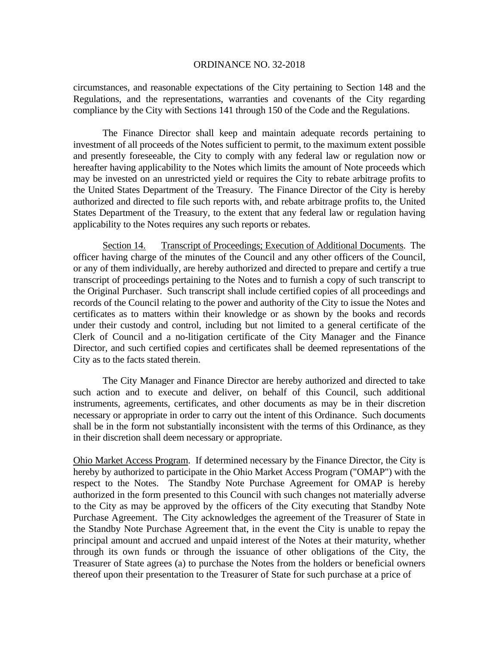circumstances, and reasonable expectations of the City pertaining to Section 148 and the Regulations, and the representations, warranties and covenants of the City regarding compliance by the City with Sections 141 through 150 of the Code and the Regulations.

 The Finance Director shall keep and maintain adequate records pertaining to investment of all proceeds of the Notes sufficient to permit, to the maximum extent possible and presently foreseeable, the City to comply with any federal law or regulation now or hereafter having applicability to the Notes which limits the amount of Note proceeds which may be invested on an unrestricted yield or requires the City to rebate arbitrage profits to the United States Department of the Treasury. The Finance Director of the City is hereby authorized and directed to file such reports with, and rebate arbitrage profits to, the United States Department of the Treasury, to the extent that any federal law or regulation having applicability to the Notes requires any such reports or rebates.

Section 14. Transcript of Proceedings; Execution of Additional Documents. The officer having charge of the minutes of the Council and any other officers of the Council, or any of them individually, are hereby authorized and directed to prepare and certify a true transcript of proceedings pertaining to the Notes and to furnish a copy of such transcript to the Original Purchaser. Such transcript shall include certified copies of all proceedings and records of the Council relating to the power and authority of the City to issue the Notes and certificates as to matters within their knowledge or as shown by the books and records under their custody and control, including but not limited to a general certificate of the Clerk of Council and a no-litigation certificate of the City Manager and the Finance Director, and such certified copies and certificates shall be deemed representations of the City as to the facts stated therein.

The City Manager and Finance Director are hereby authorized and directed to take such action and to execute and deliver, on behalf of this Council, such additional instruments, agreements, certificates, and other documents as may be in their discretion necessary or appropriate in order to carry out the intent of this Ordinance. Such documents shall be in the form not substantially inconsistent with the terms of this Ordinance, as they in their discretion shall deem necessary or appropriate.

Ohio Market Access Program. If determined necessary by the Finance Director, the City is hereby by authorized to participate in the Ohio Market Access Program ("OMAP") with the respect to the Notes. The Standby Note Purchase Agreement for OMAP is hereby authorized in the form presented to this Council with such changes not materially adverse to the City as may be approved by the officers of the City executing that Standby Note Purchase Agreement. The City acknowledges the agreement of the Treasurer of State in the Standby Note Purchase Agreement that, in the event the City is unable to repay the principal amount and accrued and unpaid interest of the Notes at their maturity, whether through its own funds or through the issuance of other obligations of the City, the Treasurer of State agrees (a) to purchase the Notes from the holders or beneficial owners thereof upon their presentation to the Treasurer of State for such purchase at a price of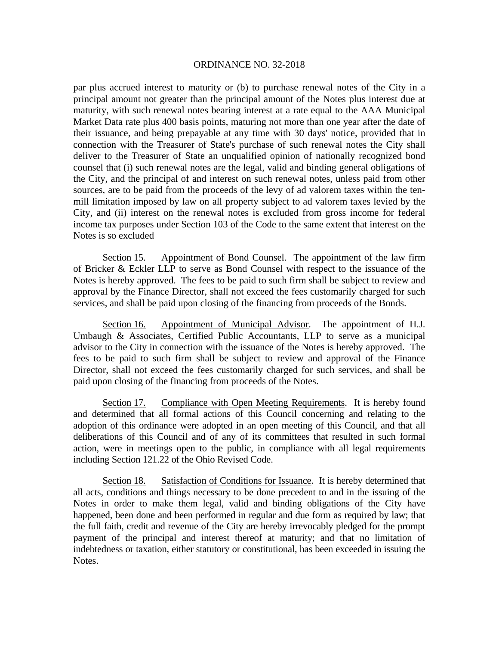par plus accrued interest to maturity or (b) to purchase renewal notes of the City in a principal amount not greater than the principal amount of the Notes plus interest due at maturity, with such renewal notes bearing interest at a rate equal to the AAA Municipal Market Data rate plus 400 basis points, maturing not more than one year after the date of their issuance, and being prepayable at any time with 30 days' notice, provided that in connection with the Treasurer of State's purchase of such renewal notes the City shall deliver to the Treasurer of State an unqualified opinion of nationally recognized bond counsel that (i) such renewal notes are the legal, valid and binding general obligations of the City, and the principal of and interest on such renewal notes, unless paid from other sources, are to be paid from the proceeds of the levy of ad valorem taxes within the tenmill limitation imposed by law on all property subject to ad valorem taxes levied by the City, and (ii) interest on the renewal notes is excluded from gross income for federal income tax purposes under Section 103 of the Code to the same extent that interest on the Notes is so excluded

Section 15. Appointment of Bond Counsel. The appointment of the law firm of Bricker & Eckler LLP to serve as Bond Counsel with respect to the issuance of the Notes is hereby approved. The fees to be paid to such firm shall be subject to review and approval by the Finance Director, shall not exceed the fees customarily charged for such services, and shall be paid upon closing of the financing from proceeds of the Bonds.

Section 16. Appointment of Municipal Advisor. The appointment of H.J. Umbaugh & Associates, Certified Public Accountants, LLP to serve as a municipal advisor to the City in connection with the issuance of the Notes is hereby approved. The fees to be paid to such firm shall be subject to review and approval of the Finance Director, shall not exceed the fees customarily charged for such services, and shall be paid upon closing of the financing from proceeds of the Notes.

Section 17. Compliance with Open Meeting Requirements. It is hereby found and determined that all formal actions of this Council concerning and relating to the adoption of this ordinance were adopted in an open meeting of this Council, and that all deliberations of this Council and of any of its committees that resulted in such formal action, were in meetings open to the public, in compliance with all legal requirements including Section 121.22 of the Ohio Revised Code.

Section 18. Satisfaction of Conditions for Issuance. It is hereby determined that all acts, conditions and things necessary to be done precedent to and in the issuing of the Notes in order to make them legal, valid and binding obligations of the City have happened, been done and been performed in regular and due form as required by law; that the full faith, credit and revenue of the City are hereby irrevocably pledged for the prompt payment of the principal and interest thereof at maturity; and that no limitation of indebtedness or taxation, either statutory or constitutional, has been exceeded in issuing the Notes.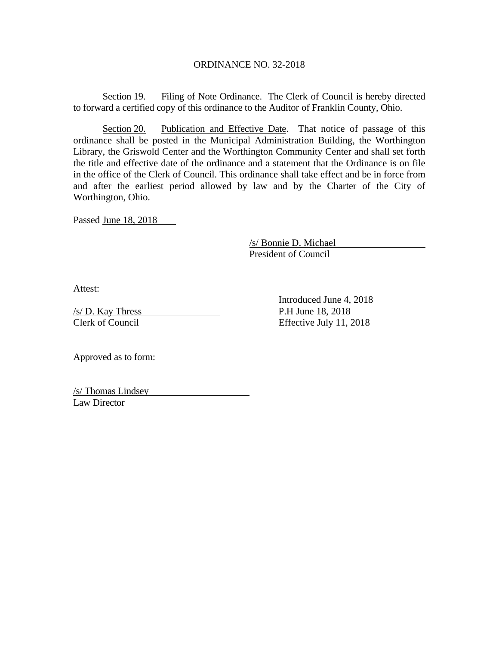Section 19. Filing of Note Ordinance. The Clerk of Council is hereby directed to forward a certified copy of this ordinance to the Auditor of Franklin County, Ohio.

Section 20. Publication and Effective Date. That notice of passage of this ordinance shall be posted in the Municipal Administration Building, the Worthington Library, the Griswold Center and the Worthington Community Center and shall set forth the title and effective date of the ordinance and a statement that the Ordinance is on file in the office of the Clerk of Council. This ordinance shall take effect and be in force from and after the earliest period allowed by law and by the Charter of the City of Worthington, Ohio.

Passed June 18, 2018

 /s/ Bonnie D. Michael President of Council

Attest:

 $\frac{s}{D}$ . Kay Thress P.H June 18, 2018 Clerk of Council Effective July 11, 2018

Introduced June 4, 2018

Approved as to form:

/s/ Thomas Lindsey Law Director